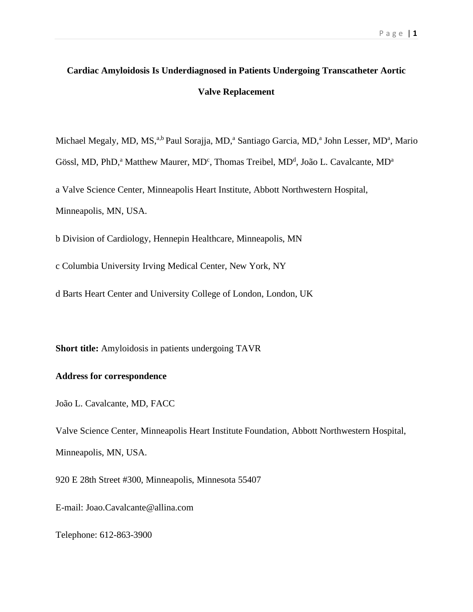# **Cardiac Amyloidosis Is Underdiagnosed in Patients Undergoing Transcatheter Aortic Valve Replacement**

Michael Megaly, MD, MS,<sup>a,b</sup> Paul Sorajja, MD,<sup>a</sup> Santiago Garcia, MD,<sup>a</sup> John Lesser, MD<sup>a</sup>, Mario

Gössl, MD, PhD,<sup>a</sup> Matthew Maurer, MD<sup>c</sup>, Thomas Treibel, MD<sup>d</sup>, João L. Cavalcante, MD<sup>a</sup>

a Valve Science Center, Minneapolis Heart Institute, Abbott Northwestern Hospital, Minneapolis, MN, USA.

b Division of Cardiology, Hennepin Healthcare, Minneapolis, MN

c Columbia University Irving Medical Center, New York, NY

d Barts Heart Center and University College of London, London, UK

**Short title:** Amyloidosis in patients undergoing TAVR

## **Address for correspondence**

João L. Cavalcante, MD, FACC

Valve Science Center, Minneapolis Heart Institute Foundation, Abbott Northwestern Hospital, Minneapolis, MN, USA.

920 E 28th Street #300, Minneapolis, Minnesota 55407

E-mail: Joao.Cavalcante@allina.com

Telephone: 612-863-3900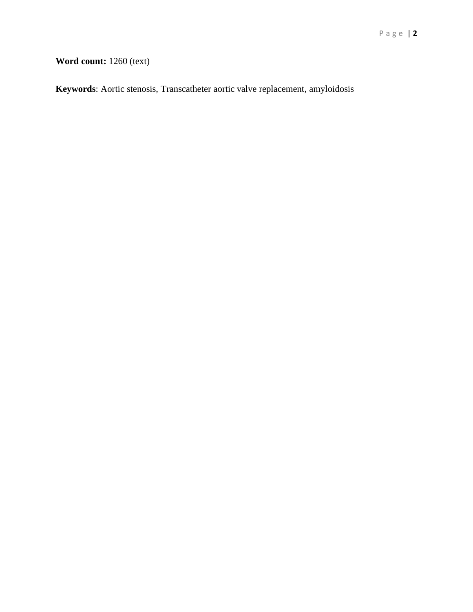## **Word count:** 1260 (text)

**Keywords**: Aortic stenosis, Transcatheter aortic valve replacement, amyloidosis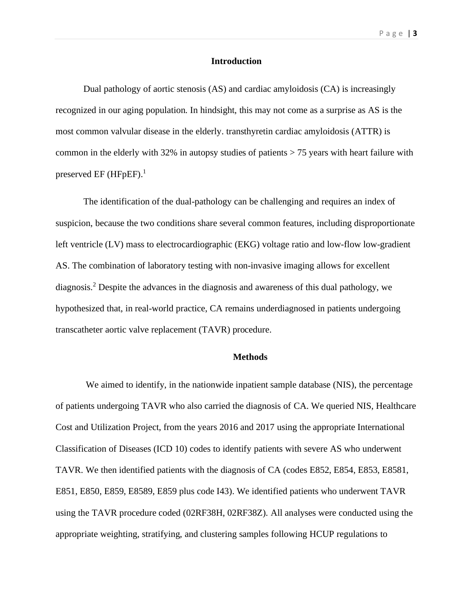#### **Introduction**

Dual pathology of aortic stenosis (AS) and cardiac amyloidosis (CA) is increasingly recognized in our aging population. In hindsight, this may not come as a surprise as AS is the most common valvular disease in the elderly. transthyretin cardiac amyloidosis (ATTR) is common in the elderly with 32% in autopsy studies of patients > 75 years with heart failure with preserved EF (HFpEF).<sup>1</sup>

The identification of the dual-pathology can be challenging and requires an index of suspicion, because the two conditions share several common features, including disproportionate left ventricle (LV) mass to electrocardiographic (EKG) voltage ratio and low-flow low-gradient AS. The combination of laboratory testing with non-invasive imaging allows for excellent diagnosis. <sup>2</sup> Despite the advances in the diagnosis and awareness of this dual pathology, we hypothesized that, in real-world practice, CA remains underdiagnosed in patients undergoing transcatheter aortic valve replacement (TAVR) procedure.

#### **Methods**

We aimed to identify, in the nationwide inpatient sample database (NIS), the percentage of patients undergoing TAVR who also carried the diagnosis of CA. We queried NIS, Healthcare Cost and Utilization Project, from the years 2016 and 2017 using the appropriate International Classification of Diseases (ICD 10) codes to identify patients with severe AS who underwent TAVR. We then identified patients with the diagnosis of CA (codes E852, E854, E853, E8581, E851, E850, E859, E8589, E859 plus code I43). We identified patients who underwent TAVR using the TAVR procedure coded (02RF38H, 02RF38Z). All analyses were conducted using the appropriate weighting, stratifying, and clustering samples following HCUP regulations to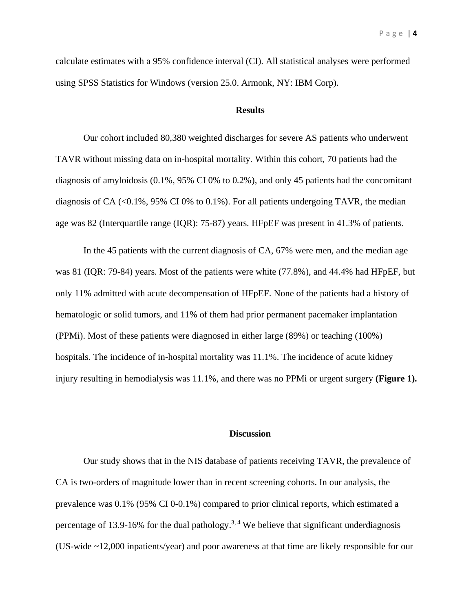calculate estimates with a 95% confidence interval (CI). All statistical analyses were performed using SPSS Statistics for Windows (version 25.0. Armonk, NY: IBM Corp).

#### **Results**

Our cohort included 80,380 weighted discharges for severe AS patients who underwent TAVR without missing data on in-hospital mortality. Within this cohort, 70 patients had the diagnosis of amyloidosis (0.1%, 95% CI 0% to 0.2%), and only 45 patients had the concomitant diagnosis of CA  $\langle 0.1\%, 95\% \right)$  CI 0% to 0.1%). For all patients undergoing TAVR, the median age was 82 (Interquartile range (IQR): 75-87) years. HFpEF was present in 41.3% of patients.

In the 45 patients with the current diagnosis of CA, 67% were men, and the median age was 81 (IQR: 79-84) years. Most of the patients were white (77.8%), and 44.4% had HFpEF, but only 11% admitted with acute decompensation of HFpEF. None of the patients had a history of hematologic or solid tumors, and 11% of them had prior permanent pacemaker implantation (PPMi). Most of these patients were diagnosed in either large (89%) or teaching (100%) hospitals. The incidence of in-hospital mortality was 11.1%. The incidence of acute kidney injury resulting in hemodialysis was 11.1%, and there was no PPMi or urgent surgery **(Figure 1).**

#### **Discussion**

Our study shows that in the NIS database of patients receiving TAVR, the prevalence of CA is two-orders of magnitude lower than in recent screening cohorts. In our analysis, the prevalence was 0.1% (95% CI 0-0.1%) compared to prior clinical reports, which estimated a percentage of 13.9-16% for the dual pathology.<sup>3, 4</sup> We believe that significant underdiagnosis (US-wide ~12,000 inpatients/year) and poor awareness at that time are likely responsible for our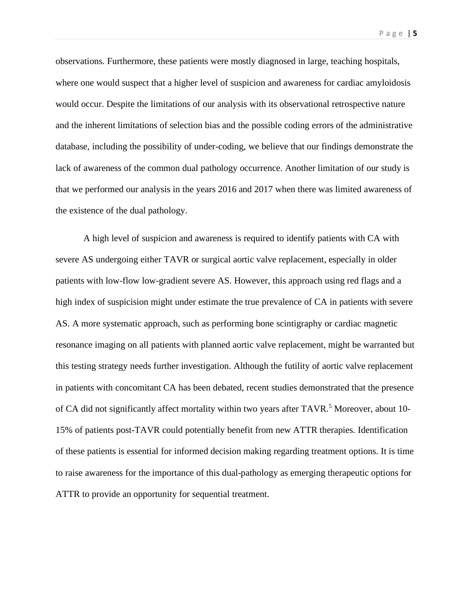observations. Furthermore, these patients were mostly diagnosed in large, teaching hospitals, where one would suspect that a higher level of suspicion and awareness for cardiac amyloidosis would occur. Despite the limitations of our analysis with its observational retrospective nature and the inherent limitations of selection bias and the possible coding errors of the administrative database, including the possibility of under-coding, we believe that our findings demonstrate the lack of awareness of the common dual pathology occurrence. Another limitation of our study is that we performed our analysis in the years 2016 and 2017 when there was limited awareness of the existence of the dual pathology.

A high level of suspicion and awareness is required to identify patients with CA with severe AS undergoing either TAVR or surgical aortic valve replacement, especially in older patients with low-flow low-gradient severe AS. However, this approach using red flags and a high index of suspicision might under estimate the true prevalence of CA in patients with severe AS. A more systematic approach, such as performing bone scintigraphy or cardiac magnetic resonance imaging on all patients with planned aortic valve replacement, might be warranted but this testing strategy needs further investigation. Although the futility of aortic valve replacement in patients with concomitant CA has been debated, recent studies demonstrated that the presence of CA did not significantly affect mortality within two years after TAVR.<sup>5</sup> Moreover, about 10-15% of patients post-TAVR could potentially benefit from new ATTR therapies. Identification of these patients is essential for informed decision making regarding treatment options. It is time to raise awareness for the importance of this dual-pathology as emerging therapeutic options for ATTR to provide an opportunity for sequential treatment.

P a g e | **5**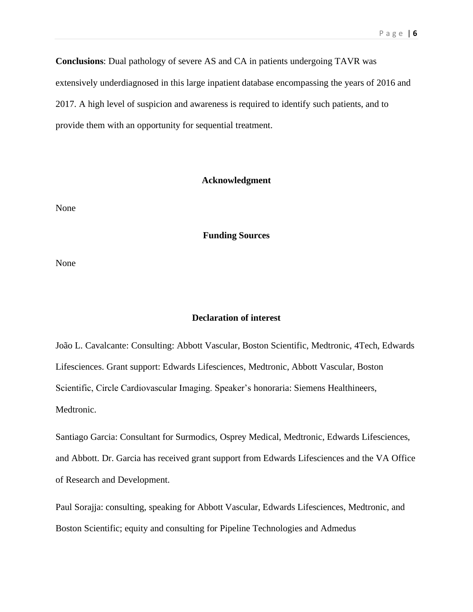**Conclusions**: Dual pathology of severe AS and CA in patients undergoing TAVR was

extensively underdiagnosed in this large inpatient database encompassing the years of 2016 and

2017. A high level of suspicion and awareness is required to identify such patients, and to

provide them with an opportunity for sequential treatment.

### **Acknowledgment**

None

**Funding Sources**

None

## **Declaration of interest**

João L. Cavalcante: Consulting: Abbott Vascular, Boston Scientific, Medtronic, 4Tech, Edwards Lifesciences. Grant support: Edwards Lifesciences, Medtronic, Abbott Vascular, Boston Scientific, Circle Cardiovascular Imaging. Speaker's honoraria: Siemens Healthineers, Medtronic.

Santiago Garcia: Consultant for Surmodics, Osprey Medical, Medtronic, Edwards Lifesciences, and Abbott. Dr. Garcia has received grant support from Edwards Lifesciences and the VA Office of Research and Development.

Paul Sorajja: consulting, speaking for Abbott Vascular, Edwards Lifesciences, Medtronic, and Boston Scientific; equity and consulting for Pipeline Technologies and Admedus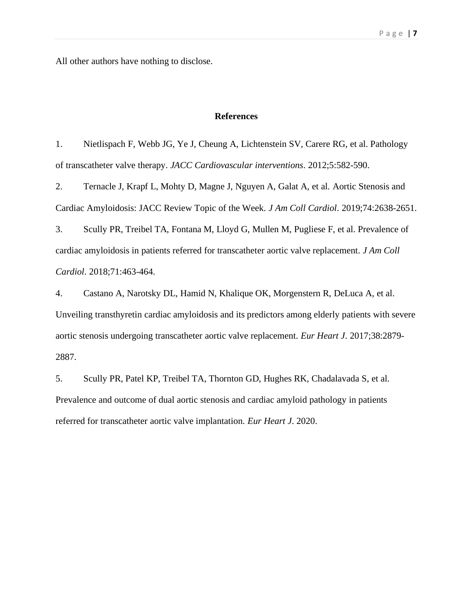All other authors have nothing to disclose.

#### **References**

1. Nietlispach F, Webb JG, Ye J, Cheung A, Lichtenstein SV, Carere RG, et al. Pathology of transcatheter valve therapy. *JACC Cardiovascular interventions*. 2012;5:582-590.

2. Ternacle J, Krapf L, Mohty D, Magne J, Nguyen A, Galat A, et al. Aortic Stenosis and Cardiac Amyloidosis: JACC Review Topic of the Week. *J Am Coll Cardiol*. 2019;74:2638-2651.

3. Scully PR, Treibel TA, Fontana M, Lloyd G, Mullen M, Pugliese F, et al. Prevalence of cardiac amyloidosis in patients referred for transcatheter aortic valve replacement. *J Am Coll Cardiol*. 2018;71:463-464.

4. Castano A, Narotsky DL, Hamid N, Khalique OK, Morgenstern R, DeLuca A, et al. Unveiling transthyretin cardiac amyloidosis and its predictors among elderly patients with severe aortic stenosis undergoing transcatheter aortic valve replacement. *Eur Heart J*. 2017;38:2879- 2887.

5. Scully PR, Patel KP, Treibel TA, Thornton GD, Hughes RK, Chadalavada S, et al. Prevalence and outcome of dual aortic stenosis and cardiac amyloid pathology in patients referred for transcatheter aortic valve implantation. *Eur Heart J*. 2020.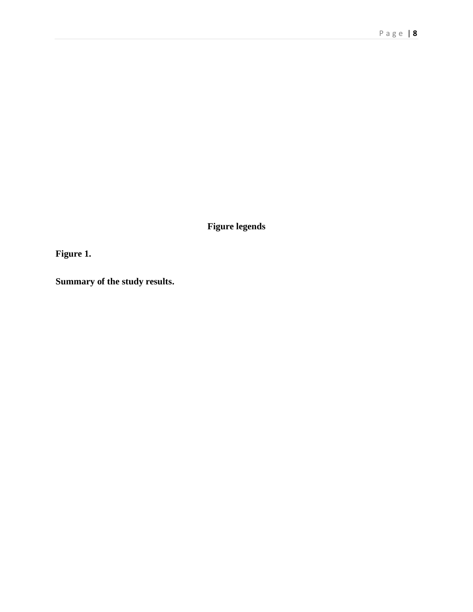**Figure legends**

**Figure 1.** 

**Summary of the study results.**